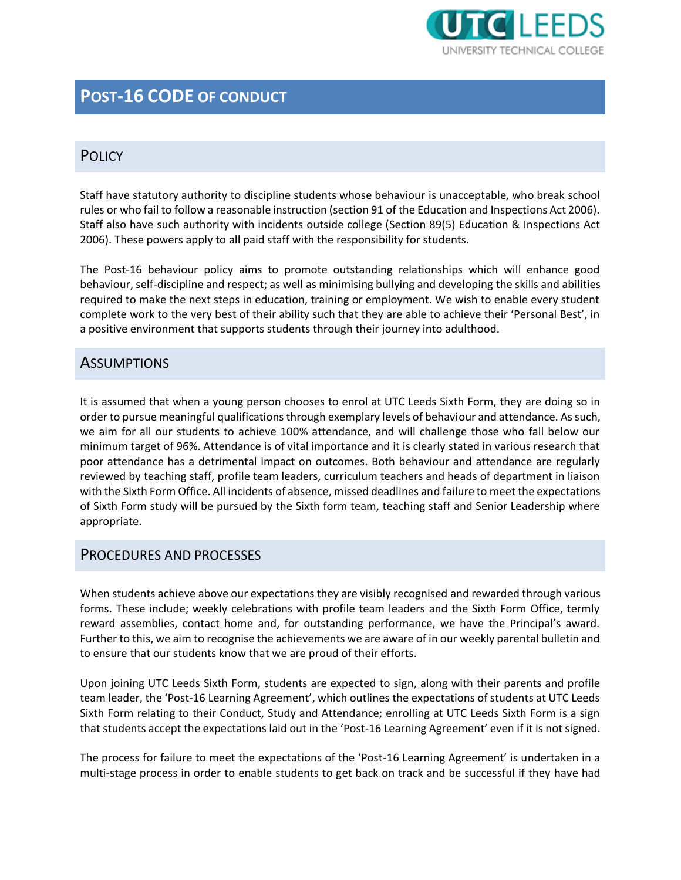

# **POST-16 CODE OF CONDUCT**

# **POLICY**

Staff have statutory authority to discipline students whose behaviour is unacceptable, who break school rules or who fail to follow a reasonable instruction (section 91 of the Education and Inspections Act 2006). Staff also have such authority with incidents outside college (Section 89(5) Education & Inspections Act 2006). These powers apply to all paid staff with the responsibility for students.

The Post-16 behaviour policy aims to promote outstanding relationships which will enhance good behaviour, self-discipline and respect; as well as minimising bullying and developing the skills and abilities required to make the next steps in education, training or employment. We wish to enable every student complete work to the very best of their ability such that they are able to achieve their 'Personal Best', in a positive environment that supports students through their journey into adulthood.

# **ASSUMPTIONS**

It is assumed that when a young person chooses to enrol at UTC Leeds Sixth Form, they are doing so in order to pursue meaningful qualifications through exemplary levels of behaviour and attendance. As such, we aim for all our students to achieve 100% attendance, and will challenge those who fall below our minimum target of 96%. Attendance is of vital importance and it is clearly stated in various research that poor attendance has a detrimental impact on outcomes. Both behaviour and attendance are regularly reviewed by teaching staff, profile team leaders, curriculum teachers and heads of department in liaison with the Sixth Form Office. All incidents of absence, missed deadlines and failure to meet the expectations of Sixth Form study will be pursued by the Sixth form team, teaching staff and Senior Leadership where appropriate.

# PROCEDURES AND PROCESSES

When students achieve above our expectations they are visibly recognised and rewarded through various forms. These include; weekly celebrations with profile team leaders and the Sixth Form Office, termly reward assemblies, contact home and, for outstanding performance, we have the Principal's award. Further to this, we aim to recognise the achievements we are aware of in our weekly parental bulletin and to ensure that our students know that we are proud of their efforts.

Upon joining UTC Leeds Sixth Form, students are expected to sign, along with their parents and profile team leader, the 'Post-16 Learning Agreement', which outlines the expectations of students at UTC Leeds Sixth Form relating to their Conduct, Study and Attendance; enrolling at UTC Leeds Sixth Form is a sign that students accept the expectations laid out in the 'Post-16 Learning Agreement' even if it is not signed.

The process for failure to meet the expectations of the 'Post-16 Learning Agreement' is undertaken in a multi-stage process in order to enable students to get back on track and be successful if they have had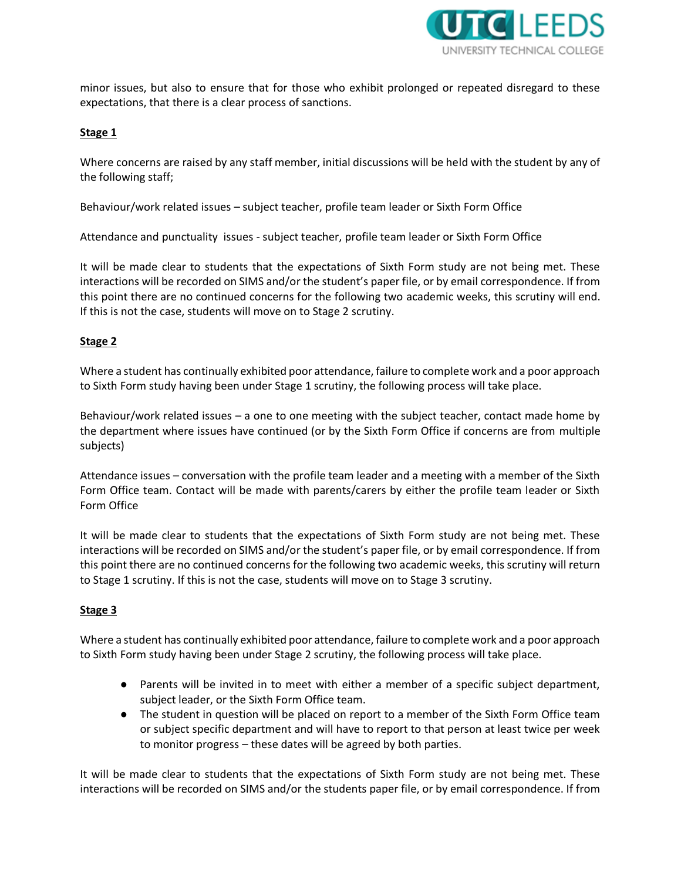

minor issues, but also to ensure that for those who exhibit prolonged or repeated disregard to these expectations, that there is a clear process of sanctions.

#### **Stage 1**

Where concerns are raised by any staff member, initial discussions will be held with the student by any of the following staff;

Behaviour/work related issues – subject teacher, profile team leader or Sixth Form Office

Attendance and punctuality issues - subject teacher, profile team leader or Sixth Form Office

It will be made clear to students that the expectations of Sixth Form study are not being met. These interactions will be recorded on SIMS and/or the student's paper file, or by email correspondence. If from this point there are no continued concerns for the following two academic weeks, this scrutiny will end. If this is not the case, students will move on to Stage 2 scrutiny.

#### **Stage 2**

Where a student has continually exhibited poor attendance, failure to complete work and a poor approach to Sixth Form study having been under Stage 1 scrutiny, the following process will take place.

Behaviour/work related issues – a one to one meeting with the subject teacher, contact made home by the department where issues have continued (or by the Sixth Form Office if concerns are from multiple subjects)

Attendance issues – conversation with the profile team leader and a meeting with a member of the Sixth Form Office team. Contact will be made with parents/carers by either the profile team leader or Sixth Form Office

It will be made clear to students that the expectations of Sixth Form study are not being met. These interactions will be recorded on SIMS and/or the student's paper file, or by email correspondence. If from this point there are no continued concerns for the following two academic weeks, this scrutiny will return to Stage 1 scrutiny. If this is not the case, students will move on to Stage 3 scrutiny.

#### **Stage 3**

Where a student has continually exhibited poor attendance, failure to complete work and a poor approach to Sixth Form study having been under Stage 2 scrutiny, the following process will take place.

- Parents will be invited in to meet with either a member of a specific subject department, subject leader, or the Sixth Form Office team.
- The student in question will be placed on report to a member of the Sixth Form Office team or subject specific department and will have to report to that person at least twice per week to monitor progress – these dates will be agreed by both parties.

It will be made clear to students that the expectations of Sixth Form study are not being met. These interactions will be recorded on SIMS and/or the students paper file, or by email correspondence. If from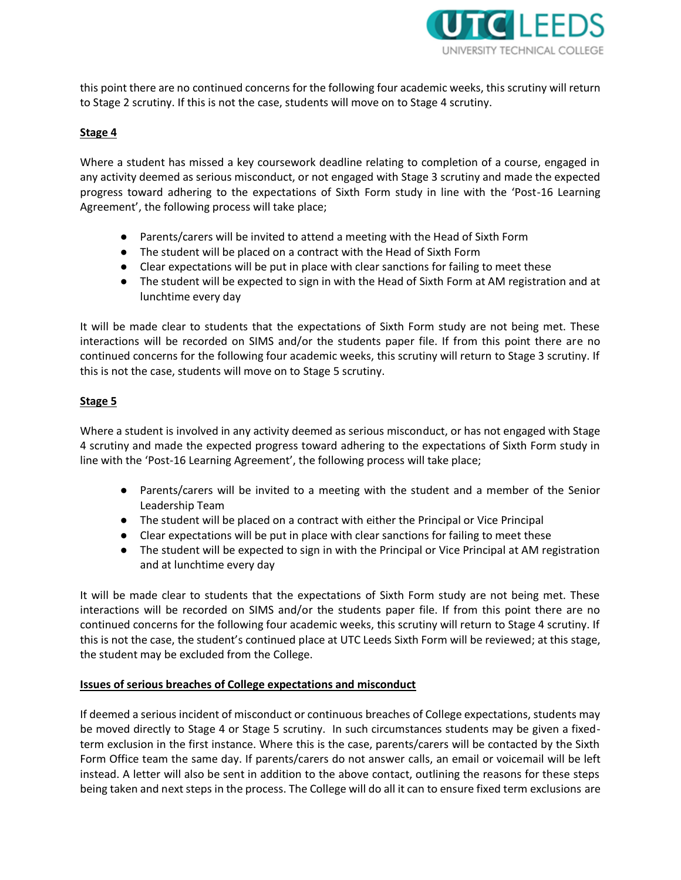

this point there are no continued concerns for the following four academic weeks, this scrutiny will return to Stage 2 scrutiny. If this is not the case, students will move on to Stage 4 scrutiny.

#### **Stage 4**

Where a student has missed a key coursework deadline relating to completion of a course, engaged in any activity deemed as serious misconduct, or not engaged with Stage 3 scrutiny and made the expected progress toward adhering to the expectations of Sixth Form study in line with the 'Post-16 Learning Agreement', the following process will take place;

- Parents/carers will be invited to attend a meeting with the Head of Sixth Form
- The student will be placed on a contract with the Head of Sixth Form
- Clear expectations will be put in place with clear sanctions for failing to meet these
- The student will be expected to sign in with the Head of Sixth Form at AM registration and at lunchtime every day

It will be made clear to students that the expectations of Sixth Form study are not being met. These interactions will be recorded on SIMS and/or the students paper file. If from this point there are no continued concerns for the following four academic weeks, this scrutiny will return to Stage 3 scrutiny. If this is not the case, students will move on to Stage 5 scrutiny.

#### **Stage 5**

Where a student is involved in any activity deemed as serious misconduct, or has not engaged with Stage 4 scrutiny and made the expected progress toward adhering to the expectations of Sixth Form study in line with the 'Post-16 Learning Agreement', the following process will take place;

- Parents/carers will be invited to a meeting with the student and a member of the Senior Leadership Team
- The student will be placed on a contract with either the Principal or Vice Principal
- Clear expectations will be put in place with clear sanctions for failing to meet these
- The student will be expected to sign in with the Principal or Vice Principal at AM registration and at lunchtime every day

It will be made clear to students that the expectations of Sixth Form study are not being met. These interactions will be recorded on SIMS and/or the students paper file. If from this point there are no continued concerns for the following four academic weeks, this scrutiny will return to Stage 4 scrutiny. If this is not the case, the student's continued place at UTC Leeds Sixth Form will be reviewed; at this stage, the student may be excluded from the College.

#### **Issues of serious breaches of College expectations and misconduct**

If deemed a serious incident of misconduct or continuous breaches of College expectations, students may be moved directly to Stage 4 or Stage 5 scrutiny. In such circumstances students may be given a fixedterm exclusion in the first instance. Where this is the case, parents/carers will be contacted by the Sixth Form Office team the same day. If parents/carers do not answer calls, an email or voicemail will be left instead. A letter will also be sent in addition to the above contact, outlining the reasons for these steps being taken and next steps in the process. The College will do all it can to ensure fixed term exclusions are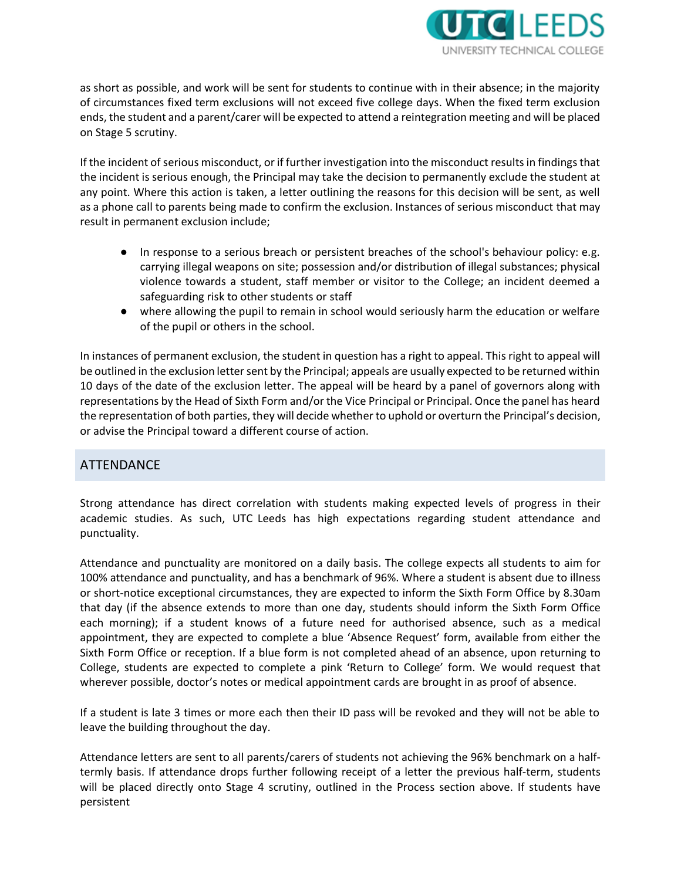

as short as possible, and work will be sent for students to continue with in their absence; in the majority of circumstances fixed term exclusions will not exceed five college days. When the fixed term exclusion ends, the student and a parent/carer will be expected to attend a reintegration meeting and will be placed on Stage 5 scrutiny.

If the incident of serious misconduct, or if further investigation into the misconduct results in findings that the incident is serious enough, the Principal may take the decision to permanently exclude the student at any point. Where this action is taken, a letter outlining the reasons for this decision will be sent, as well as a phone call to parents being made to confirm the exclusion. Instances of serious misconduct that may result in permanent exclusion include;

- In response to a serious breach or persistent breaches of the school's behaviour policy: e.g. carrying illegal weapons on site; possession and/or distribution of illegal substances; physical violence towards a student, staff member or visitor to the College; an incident deemed a safeguarding risk to other students or staff
- where allowing the pupil to remain in school would seriously harm the education or welfare of the pupil or others in the school.

In instances of permanent exclusion, the student in question has a right to appeal. This right to appeal will be outlined in the exclusion letter sent by the Principal; appeals are usually expected to be returned within 10 days of the date of the exclusion letter. The appeal will be heard by a panel of governors along with representations by the Head of Sixth Form and/or the Vice Principal or Principal. Once the panel has heard the representation of both parties, they will decide whether to uphold or overturn the Principal's decision, or advise the Principal toward a different course of action.

# **ATTENDANCE**

Strong attendance has direct correlation with students making expected levels of progress in their academic studies. As such, UTC Leeds has high expectations regarding student attendance and punctuality.

Attendance and punctuality are monitored on a daily basis. The college expects all students to aim for 100% attendance and punctuality, and has a benchmark of 96%. Where a student is absent due to illness or short-notice exceptional circumstances, they are expected to inform the Sixth Form Office by 8.30am that day (if the absence extends to more than one day, students should inform the Sixth Form Office each morning); if a student knows of a future need for authorised absence, such as a medical appointment, they are expected to complete a blue 'Absence Request' form, available from either the Sixth Form Office or reception. If a blue form is not completed ahead of an absence, upon returning to College, students are expected to complete a pink 'Return to College' form. We would request that wherever possible, doctor's notes or medical appointment cards are brought in as proof of absence.

If a student is late 3 times or more each then their ID pass will be revoked and they will not be able to leave the building throughout the day.

Attendance letters are sent to all parents/carers of students not achieving the 96% benchmark on a halftermly basis. If attendance drops further following receipt of a letter the previous half-term, students will be placed directly onto Stage 4 scrutiny, outlined in the Process section above. If students have persistent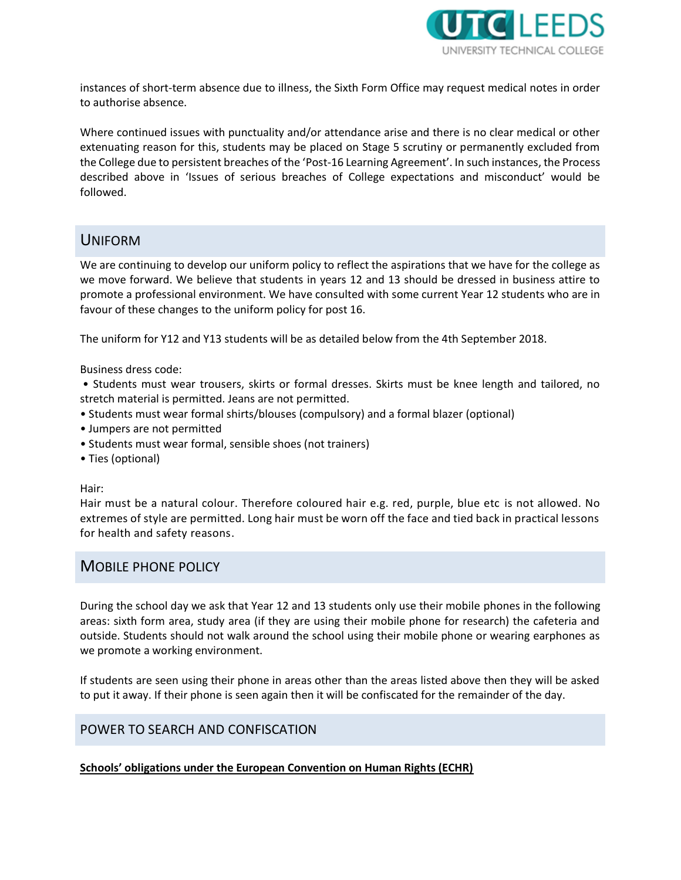

instances of short-term absence due to illness, the Sixth Form Office may request medical notes in order to authorise absence.

Where continued issues with punctuality and/or attendance arise and there is no clear medical or other extenuating reason for this, students may be placed on Stage 5 scrutiny or permanently excluded from the College due to persistent breaches of the 'Post-16 Learning Agreement'. In such instances, the Process described above in 'Issues of serious breaches of College expectations and misconduct' would be followed.

# UNIFORM

We are continuing to develop our uniform policy to reflect the aspirations that we have for the college as we move forward. We believe that students in years 12 and 13 should be dressed in business attire to promote a professional environment. We have consulted with some current Year 12 students who are in favour of these changes to the uniform policy for post 16.

The uniform for Y12 and Y13 students will be as detailed below from the 4th September 2018.

#### Business dress code:

• Students must wear trousers, skirts or formal dresses. Skirts must be knee length and tailored, no stretch material is permitted. Jeans are not permitted.

- Students must wear formal shirts/blouses (compulsory) and a formal blazer (optional)
- Jumpers are not permitted
- Students must wear formal, sensible shoes (not trainers)
- Ties (optional)

Hair:

Hair must be a natural colour. Therefore coloured hair e.g. red, purple, blue etc is not allowed. No extremes of style are permitted. Long hair must be worn off the face and tied back in practical lessons for health and safety reasons.

# MOBILE PHONE POLICY

During the school day we ask that Year 12 and 13 students only use their mobile phones in the following areas: sixth form area, study area (if they are using their mobile phone for research) the cafeteria and outside. Students should not walk around the school using their mobile phone or wearing earphones as we promote a working environment.

If students are seen using their phone in areas other than the areas listed above then they will be asked to put it away. If their phone is seen again then it will be confiscated for the remainder of the day.

### POWER TO SEARCH AND CONFISCATION

#### **Schools' obligations under the European Convention on Human Rights (ECHR)**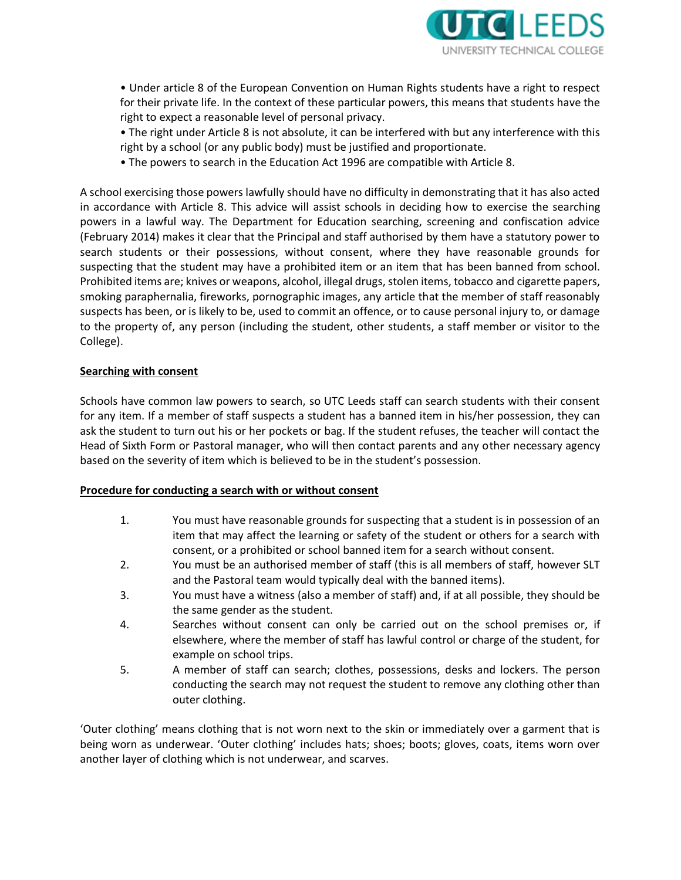

• Under article 8 of the European Convention on Human Rights students have a right to respect for their private life. In the context of these particular powers, this means that students have the right to expect a reasonable level of personal privacy.

- The right under Article 8 is not absolute, it can be interfered with but any interference with this right by a school (or any public body) must be justified and proportionate.
- The powers to search in the Education Act 1996 are compatible with Article 8.

A school exercising those powers lawfully should have no difficulty in demonstrating that it has also acted in accordance with Article 8. This advice will assist schools in deciding how to exercise the searching powers in a lawful way. The Department for Education searching, screening and confiscation advice (February 2014) makes it clear that the Principal and staff authorised by them have a statutory power to search students or their possessions, without consent, where they have reasonable grounds for suspecting that the student may have a prohibited item or an item that has been banned from school. Prohibited items are; knives or weapons, alcohol, illegal drugs, stolen items, tobacco and cigarette papers, smoking paraphernalia, fireworks, pornographic images, any article that the member of staff reasonably suspects has been, or is likely to be, used to commit an offence, or to cause personal injury to, or damage to the property of, any person (including the student, other students, a staff member or visitor to the College).

#### **Searching with consent**

Schools have common law powers to search, so UTC Leeds staff can search students with their consent for any item. If a member of staff suspects a student has a banned item in his/her possession, they can ask the student to turn out his or her pockets or bag. If the student refuses, the teacher will contact the Head of Sixth Form or Pastoral manager, who will then contact parents and any other necessary agency based on the severity of item which is believed to be in the student's possession.

#### **Procedure for conducting a search with or without consent**

- 1. You must have reasonable grounds for suspecting that a student is in possession of an item that may affect the learning or safety of the student or others for a search with consent, or a prohibited or school banned item for a search without consent.
- 2. You must be an authorised member of staff (this is all members of staff, however SLT and the Pastoral team would typically deal with the banned items).
- 3. You must have a witness (also a member of staff) and, if at all possible, they should be the same gender as the student.
- 4. Searches without consent can only be carried out on the school premises or, if elsewhere, where the member of staff has lawful control or charge of the student, for example on school trips.
- 5. A member of staff can search; clothes, possessions, desks and lockers. The person conducting the search may not request the student to remove any clothing other than outer clothing.

'Outer clothing' means clothing that is not worn next to the skin or immediately over a garment that is being worn as underwear. 'Outer clothing' includes hats; shoes; boots; gloves, coats, items worn over another layer of clothing which is not underwear, and scarves.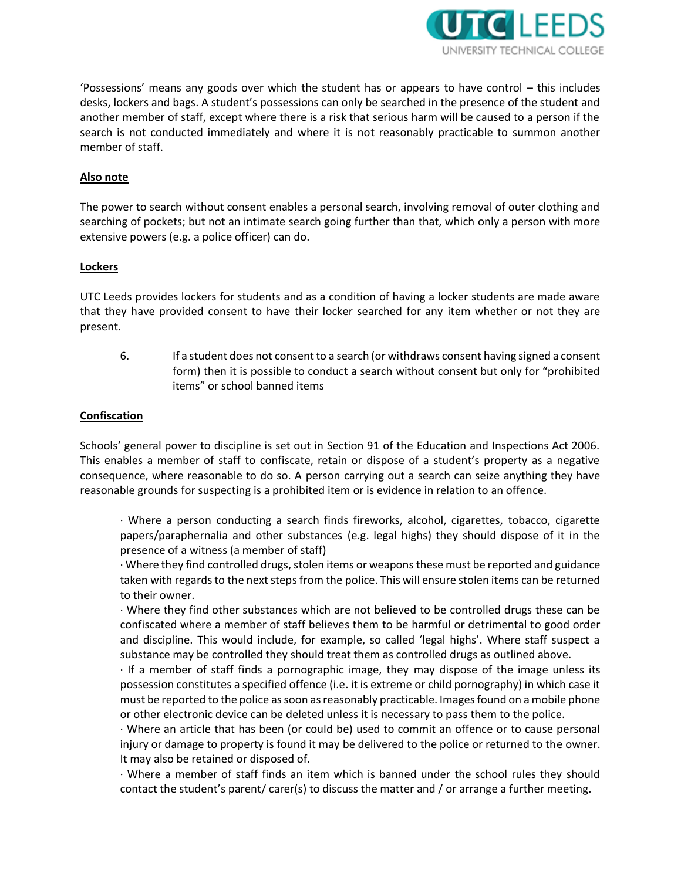

'Possessions' means any goods over which the student has or appears to have control – this includes desks, lockers and bags. A student's possessions can only be searched in the presence of the student and another member of staff, except where there is a risk that serious harm will be caused to a person if the search is not conducted immediately and where it is not reasonably practicable to summon another member of staff.

#### **Also note**

The power to search without consent enables a personal search, involving removal of outer clothing and searching of pockets; but not an intimate search going further than that, which only a person with more extensive powers (e.g. a police officer) can do.

#### **Lockers**

UTC Leeds provides lockers for students and as a condition of having a locker students are made aware that they have provided consent to have their locker searched for any item whether or not they are present.

6. If a student does not consent to a search (or withdraws consent having signed a consent form) then it is possible to conduct a search without consent but only for "prohibited items" or school banned items

#### **Confiscation**

Schools' general power to discipline is set out in Section 91 of the Education and Inspections Act 2006. This enables a member of staff to confiscate, retain or dispose of a student's property as a negative consequence, where reasonable to do so. A person carrying out a search can seize anything they have reasonable grounds for suspecting is a prohibited item or is evidence in relation to an offence.

∙ Where a person conducting a search finds fireworks, alcohol, cigarettes, tobacco, cigarette papers/paraphernalia and other substances (e.g. legal highs) they should dispose of it in the presence of a witness (a member of staff)

∙ Where they find controlled drugs, stolen items or weapons these must be reported and guidance taken with regards to the next steps from the police. This will ensure stolen items can be returned to their owner.

∙ Where they find other substances which are not believed to be controlled drugs these can be confiscated where a member of staff believes them to be harmful or detrimental to good order and discipline. This would include, for example, so called 'legal highs'. Where staff suspect a substance may be controlled they should treat them as controlled drugs as outlined above.

∙ If a member of staff finds a pornographic image, they may dispose of the image unless its possession constitutes a specified offence (i.e. it is extreme or child pornography) in which case it must be reported to the police as soon as reasonably practicable. Images found on a mobile phone or other electronic device can be deleted unless it is necessary to pass them to the police.

∙ Where an article that has been (or could be) used to commit an offence or to cause personal injury or damage to property is found it may be delivered to the police or returned to the owner. It may also be retained or disposed of.

∙ Where a member of staff finds an item which is banned under the school rules they should contact the student's parent/ carer(s) to discuss the matter and / or arrange a further meeting.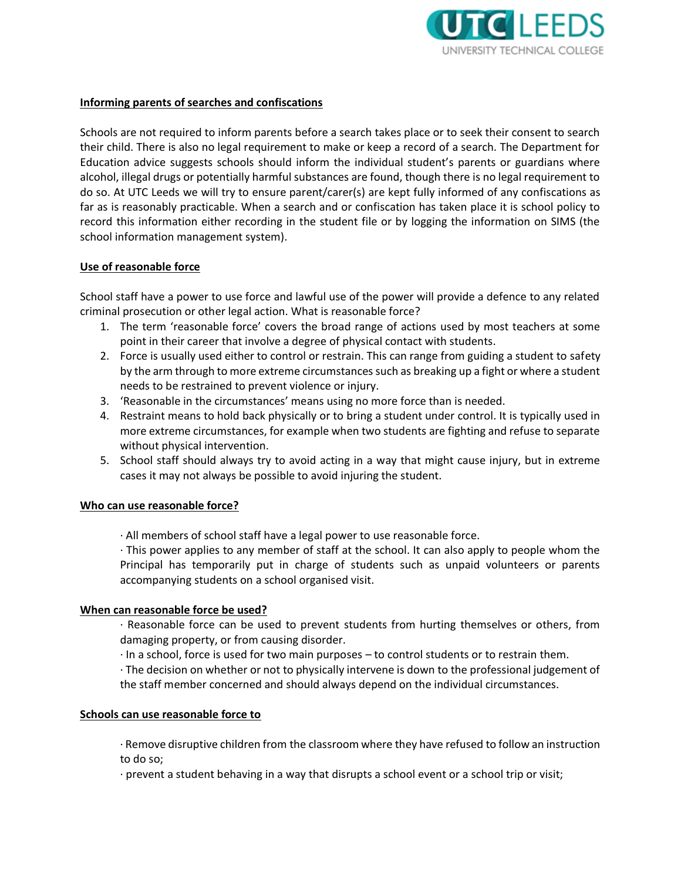

#### **Informing parents of searches and confiscations**

Schools are not required to inform parents before a search takes place or to seek their consent to search their child. There is also no legal requirement to make or keep a record of a search. The Department for Education advice suggests schools should inform the individual student's parents or guardians where alcohol, illegal drugs or potentially harmful substances are found, though there is no legal requirement to do so. At UTC Leeds we will try to ensure parent/carer(s) are kept fully informed of any confiscations as far as is reasonably practicable. When a search and or confiscation has taken place it is school policy to record this information either recording in the student file or by logging the information on SIMS (the school information management system).

#### **Use of reasonable force**

School staff have a power to use force and lawful use of the power will provide a defence to any related criminal prosecution or other legal action. What is reasonable force?

- 1. The term 'reasonable force' covers the broad range of actions used by most teachers at some point in their career that involve a degree of physical contact with students.
- 2. Force is usually used either to control or restrain. This can range from guiding a student to safety by the arm through to more extreme circumstances such as breaking up a fight or where a student needs to be restrained to prevent violence or injury.
- 3. 'Reasonable in the circumstances' means using no more force than is needed.
- 4. Restraint means to hold back physically or to bring a student under control. It is typically used in more extreme circumstances, for example when two students are fighting and refuse to separate without physical intervention.
- 5. School staff should always try to avoid acting in a way that might cause injury, but in extreme cases it may not always be possible to avoid injuring the student.

#### **Who can use reasonable force?**

∙ All members of school staff have a legal power to use reasonable force.

∙ This power applies to any member of staff at the school. It can also apply to people whom the Principal has temporarily put in charge of students such as unpaid volunteers or parents accompanying students on a school organised visit.

#### **When can reasonable force be used?**

∙ Reasonable force can be used to prevent students from hurting themselves or others, from damaging property, or from causing disorder.

∙ In a school, force is used for two main purposes – to control students or to restrain them.

∙ The decision on whether or not to physically intervene is down to the professional judgement of the staff member concerned and should always depend on the individual circumstances.

#### **Schools can use reasonable force to**

∙ Remove disruptive children from the classroom where they have refused to follow an instruction to do so;

∙ prevent a student behaving in a way that disrupts a school event or a school trip or visit;